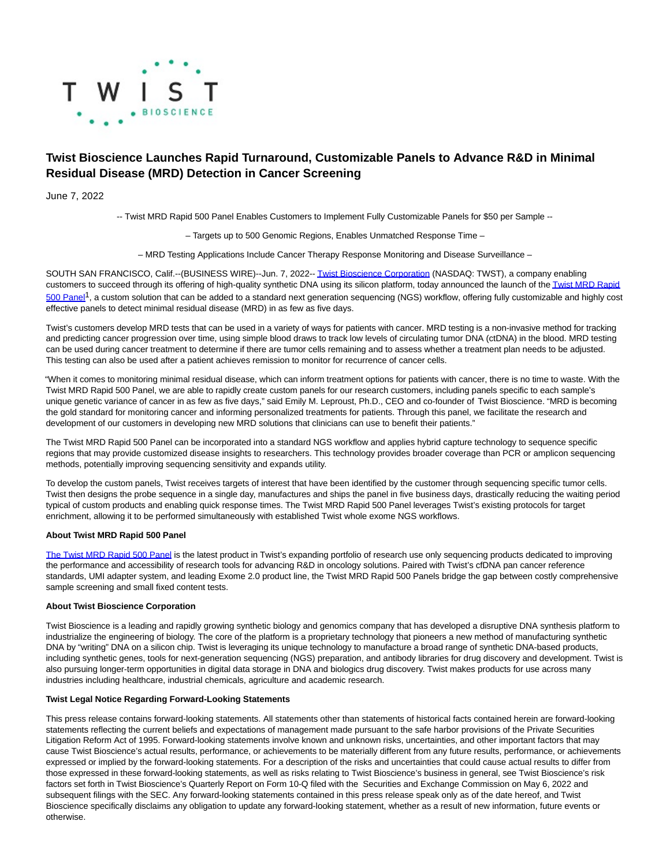

## **Twist Bioscience Launches Rapid Turnaround, Customizable Panels to Advance R&D in Minimal Residual Disease (MRD) Detection in Cancer Screening**

June 7, 2022

-- Twist MRD Rapid 500 Panel Enables Customers to Implement Fully Customizable Panels for \$50 per Sample --

– Targets up to 500 Genomic Regions, Enables Unmatched Response Time –

– MRD Testing Applications Include Cancer Therapy Response Monitoring and Disease Surveillance –

SOUTH SAN FRANCISCO, Calif.--(BUSINESS WIRE)--Jun. 7, 2022-[- Twist Bioscience Corporation \(](https://cts.businesswire.com/ct/CT?id=smartlink&url=https%3A%2F%2Fwww.twistbioscience.com%2F&esheet=52741698&newsitemid=20220607005477&lan=en-US&anchor=Twist+Bioscience+Corporation&index=1&md5=7eea609d76232b9a34efedfb3a04f11b)NASDAQ: TWST), a company enabling customers to succeed through its offering of high-quality synthetic DNA using its silicon platform, today announced the launch of th[e Twist MRD Rapid](https://cts.businesswire.com/ct/CT?id=smartlink&url=https%3A%2F%2Fwww.twistbioscience.com%2Fpersonalized-sequencing&esheet=52741698&newsitemid=20220607005477&lan=en-US&anchor=Twist+MRD+Rapid+500+Panel&index=2&md5=f95f7a5942b97059e86f36e3b66d6990) 500 Panel<sup>1</sup>, a custom solution that can be added to a standard next generation sequencing (NGS) workflow, offering fully customizable and highly cost effective panels to detect minimal residual disease (MRD) in as few as five days.

Twist's customers develop MRD tests that can be used in a variety of ways for patients with cancer. MRD testing is a non-invasive method for tracking and predicting cancer progression over time, using simple blood draws to track low levels of circulating tumor DNA (ctDNA) in the blood. MRD testing can be used during cancer treatment to determine if there are tumor cells remaining and to assess whether a treatment plan needs to be adjusted. This testing can also be used after a patient achieves remission to monitor for recurrence of cancer cells.

"When it comes to monitoring minimal residual disease, which can inform treatment options for patients with cancer, there is no time to waste. With the Twist MRD Rapid 500 Panel, we are able to rapidly create custom panels for our research customers, including panels specific to each sample's unique genetic variance of cancer in as few as five days," said Emily M. Leproust, Ph.D., CEO and co-founder of Twist Bioscience. "MRD is becoming the gold standard for monitoring cancer and informing personalized treatments for patients. Through this panel, we facilitate the research and development of our customers in developing new MRD solutions that clinicians can use to benefit their patients."

The Twist MRD Rapid 500 Panel can be incorporated into a standard NGS workflow and applies hybrid capture technology to sequence specific regions that may provide customized disease insights to researchers. This technology provides broader coverage than PCR or amplicon sequencing methods, potentially improving sequencing sensitivity and expands utility.

To develop the custom panels, Twist receives targets of interest that have been identified by the customer through sequencing specific tumor cells. Twist then designs the probe sequence in a single day, manufactures and ships the panel in five business days, drastically reducing the waiting period typical of custom products and enabling quick response times. The Twist MRD Rapid 500 Panel leverages Twist's existing protocols for target enrichment, allowing it to be performed simultaneously with established Twist whole exome NGS workflows.

## **About Twist MRD Rapid 500 Panel**

[The Twist MRD Rapid 500 Panel i](https://cts.businesswire.com/ct/CT?id=smartlink&url=https%3A%2F%2Fwww.twistbioscience.com%2Fpersonalized-sequencing&esheet=52741698&newsitemid=20220607005477&lan=en-US&anchor=The+Twist+MRD+Rapid+500+Panel&index=3&md5=a96e43ca6966756f76dc12fb9f677df7)s the latest product in Twist's expanding portfolio of research use only sequencing products dedicated to improving the performance and accessibility of research tools for advancing R&D in oncology solutions. Paired with Twist's cfDNA pan cancer reference standards, UMI adapter system, and leading Exome 2.0 product line, the Twist MRD Rapid 500 Panels bridge the gap between costly comprehensive sample screening and small fixed content tests.

## **About Twist Bioscience Corporation**

Twist Bioscience is a leading and rapidly growing synthetic biology and genomics company that has developed a disruptive DNA synthesis platform to industrialize the engineering of biology. The core of the platform is a proprietary technology that pioneers a new method of manufacturing synthetic DNA by "writing" DNA on a silicon chip. Twist is leveraging its unique technology to manufacture a broad range of synthetic DNA-based products, including synthetic genes, tools for next-generation sequencing (NGS) preparation, and antibody libraries for drug discovery and development. Twist is also pursuing longer-term opportunities in digital data storage in DNA and biologics drug discovery. Twist makes products for use across many industries including healthcare, industrial chemicals, agriculture and academic research.

## **Twist Legal Notice Regarding Forward-Looking Statements**

This press release contains forward-looking statements. All statements other than statements of historical facts contained herein are forward-looking statements reflecting the current beliefs and expectations of management made pursuant to the safe harbor provisions of the Private Securities Litigation Reform Act of 1995. Forward-looking statements involve known and unknown risks, uncertainties, and other important factors that may cause Twist Bioscience's actual results, performance, or achievements to be materially different from any future results, performance, or achievements expressed or implied by the forward-looking statements. For a description of the risks and uncertainties that could cause actual results to differ from those expressed in these forward-looking statements, as well as risks relating to Twist Bioscience's business in general, see Twist Bioscience's risk factors set forth in Twist Bioscience's Quarterly Report on Form 10-Q filed with the Securities and Exchange Commission on May 6, 2022 and subsequent filings with the SEC. Any forward-looking statements contained in this press release speak only as of the date hereof, and Twist Bioscience specifically disclaims any obligation to update any forward-looking statement, whether as a result of new information, future events or otherwise.